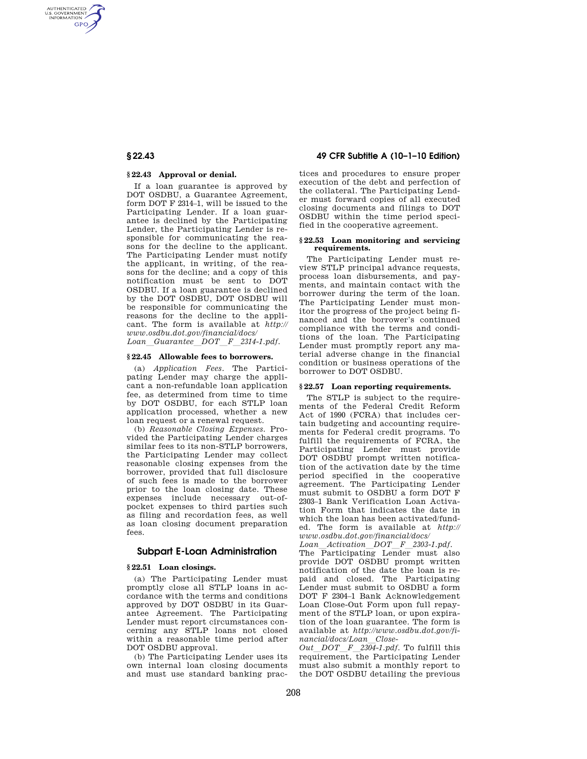AUTHENTICATED<br>U.S. GOVERNMENT<br>INFORMATION **GPO** 

# **§ 22.43 Approval or denial.**

If a loan guarantee is approved by DOT OSDBU, a Guarantee Agreement, form DOT F 2314–1, will be issued to the Participating Lender. If a loan guarantee is declined by the Participating Lender, the Participating Lender is responsible for communicating the reasons for the decline to the applicant. The Participating Lender must notify the applicant, in writing, of the reasons for the decline; and a copy of this notification must be sent to DOT OSDBU. If a loan guarantee is declined by the DOT OSDBU, DOT OSDBU will be responsible for communicating the reasons for the decline to the applicant. The form is available at *http:// www.osdbu.dot.gov/financial/docs/ Loan*l*Guarantee*l*DOT*l*F*l*2314-1.pdf.* 

# **§ 22.45 Allowable fees to borrowers.**

(a) *Application Fees.* The Participating Lender may charge the applicant a non-refundable loan application fee, as determined from time to time by DOT OSDBU, for each STLP loan application processed, whether a new loan request or a renewal request.

(b) *Reasonable Closing Expenses.* Provided the Participating Lender charges similar fees to its non-STLP borrowers, the Participating Lender may collect reasonable closing expenses from the borrower, provided that full disclosure of such fees is made to the borrower prior to the loan closing date. These expenses include necessary out-ofpocket expenses to third parties such as filing and recordation fees, as well as loan closing document preparation fees.

# **Subpart E-Loan Administration**

# **§ 22.51 Loan closings.**

(a) The Participating Lender must promptly close all STLP loans in accordance with the terms and conditions approved by DOT OSDBU in its Guarantee Agreement. The Participating Lender must report circumstances concerning any STLP loans not closed within a reasonable time period after DOT OSDBU approval.

(b) The Participating Lender uses its own internal loan closing documents and must use standard banking prac-

# **§ 22.43 49 CFR Subtitle A (10–1–10 Edition)**

tices and procedures to ensure proper execution of the debt and perfection of the collateral. The Participating Lender must forward copies of all executed closing documents and filings to DOT OSDBU within the time period specified in the cooperative agreement.

## **§ 22.53 Loan monitoring and servicing requirements.**

The Participating Lender must review STLP principal advance requests, process loan disbursements, and payments, and maintain contact with the borrower during the term of the loan. The Participating Lender must monitor the progress of the project being financed and the borrower's continued compliance with the terms and conditions of the loan. The Participating Lender must promptly report any material adverse change in the financial condition or business operations of the borrower to DOT OSDBU.

#### **§ 22.57 Loan reporting requirements.**

The STLP is subject to the requirements of the Federal Credit Reform Act of 1990 (FCRA) that includes certain budgeting and accounting requirements for Federal credit programs. To fulfill the requirements of FCRA, the Participating Lender must provide DOT OSDBU prompt written notification of the activation date by the time period specified in the cooperative agreement. The Participating Lender must submit to OSDBU a form DOT F 2303–1 Bank Verification Loan Activation Form that indicates the date in which the loan has been activated/funded. The form is available at *http:// www.osdbu.dot.gov/financial/docs/* 

*Loan*l*Activation*l*DOT*l*F*l*2303-1.pdf.* 

The Participating Lender must also provide DOT OSDBU prompt written notification of the date the loan is repaid and closed. The Participating Lender must submit to OSDBU a form DOT F 2304–1 Bank Acknowledgement Loan Close-Out Form upon full repayment of the STLP loan, or upon expiration of the loan guarantee. The form is available at *http://www.osdbu.dot.gov/financial/docs/Loan*l*Close-*

*Out*l*DOT*l*F*l*2304-1.pdf.* To fulfill this requirement, the Participating Lender must also submit a monthly report to the DOT OSDBU detailing the previous